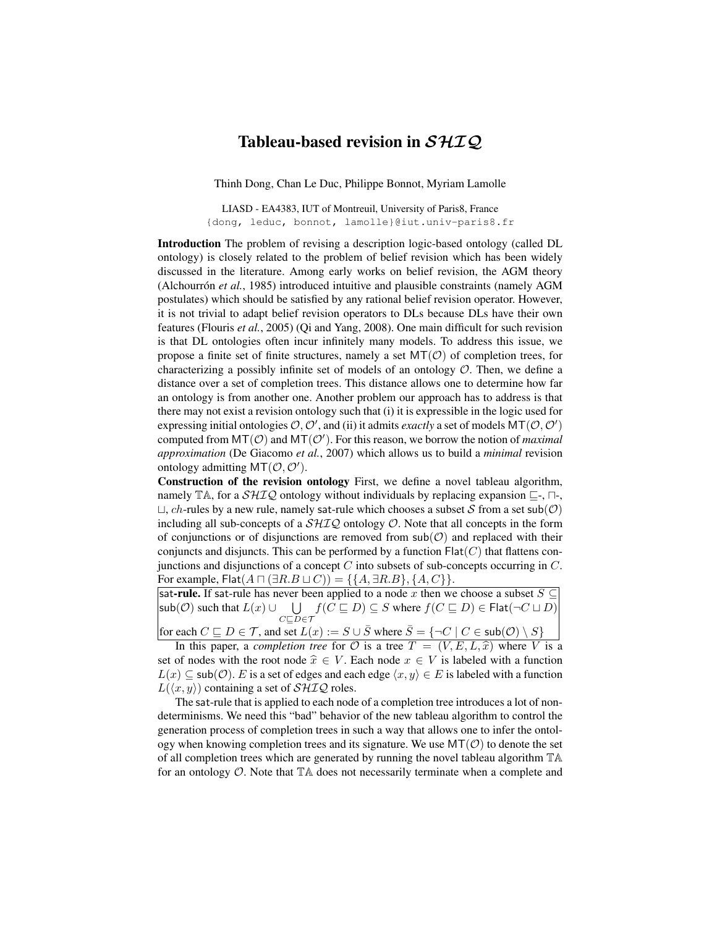## Tableau-based revision in  $\mathcal{SHIQ}$

Thinh Dong, Chan Le Duc, Philippe Bonnot, Myriam Lamolle

LIASD - EA4383, IUT of Montreuil, University of Paris8, France {dong, leduc, bonnot, lamolle}@iut.univ-paris8.fr

Introduction The problem of revising a description logic-based ontology (called DL ontology) is closely related to the problem of belief revision which has been widely discussed in the literature. Among early works on belief revision, the AGM theory (Alchourrón *et al.*, 1985) introduced intuitive and plausible constraints (namely AGM postulates) which should be satisfied by any rational belief revision operator. However, it is not trivial to adapt belief revision operators to DLs because DLs have their own features (Flouris *et al.*, 2005) (Qi and Yang, 2008). One main difficult for such revision is that DL ontologies often incur infinitely many models. To address this issue, we propose a finite set of finite structures, namely a set  $MT(\mathcal{O})$  of completion trees, for characterizing a possibly infinite set of models of an ontology  $\mathcal{O}$ . Then, we define a distance over a set of completion trees. This distance allows one to determine how far an ontology is from another one. Another problem our approach has to address is that there may not exist a revision ontology such that (i) it is expressible in the logic used for expressing initial ontologies  $O, O'$ , and (ii) it admits *exactly* a set of models  $MT(O, O')$ computed from  $MT(\mathcal{O})$  and  $MT(\mathcal{O}')$ . For this reason, we borrow the notion of *maximal approximation* (De Giacomo *et al.*, 2007) which allows us to build a *minimal* revision ontology admitting  $MT(\mathcal{O}, \mathcal{O}').$ 

Construction of the revision ontology First, we define a novel tableau algorithm, namely TA, for a  $\mathcal{SHIQ}$  ontology without individuals by replacing expansion  $\sqsubseteq$ -,  $\sqcap$ -,  $\sqcup$ , ch-rules by a new rule, namely sat-rule which chooses a subset S from a set sub(O) including all sub-concepts of a  $\mathcal{SHIQ}$  ontology  $\mathcal{O}$ . Note that all concepts in the form of conjunctions or of disjunctions are removed from  $sub(\mathcal{O})$  and replaced with their conjuncts and disjuncts. This can be performed by a function  $Flat(C)$  that flattens conjunctions and disjunctions of a concept  $C$  into subsets of sub-concepts occurring in  $C$ . For example, Flat $(A \sqcap (\exists R.B \sqcup C)) = \{\{A, \exists R.B\}, \{A, C\}\}.$ 

sat-rule. If sat-rule has never been applied to a node x then we choose a subset  $S \subseteq$  $\mathsf{sub}(\mathcal{O})$  such that  $L(x) \cup \bigcup$  $C\square D\!\in\!\mathcal{T}$  $f(C \sqsubseteq D) \subseteq S$  where  $f(C \sqsubseteq D) \in \mathsf{Flat}(\neg C \sqcup D)$ for each  $C \sqsubseteq D \in \mathcal{T}$ , and set  $L(x) := S \cup \overline{S}$  where  $\overline{S} = \{\neg C \mid C \in \mathsf{sub}(\mathcal{O}) \setminus S\}$ 

In this paper, a *completion tree* for  $\mathcal O$  is a tree  $T = (V, E, L, \hat x)$  where V is a set of nodes with the root node  $\hat{x} \in V$ . Each node  $x \in V$  is labeled with a function  $L(x) \subseteq sub(\mathcal{O})$ . E is a set of edges and each edge  $\langle x, y \rangle \in E$  is labeled with a function  $L(\langle x, y \rangle)$  containing a set of  $\mathcal{SHIO}$  roles.

The sat-rule that is applied to each node of a completion tree introduces a lot of nondeterminisms. We need this "bad" behavior of the new tableau algorithm to control the generation process of completion trees in such a way that allows one to infer the ontology when knowing completion trees and its signature. We use  $MT(\mathcal{O})$  to denote the set of all completion trees which are generated by running the novel tableau algorithm TA for an ontology  $\mathcal{O}$ . Note that  $\mathbb{T}$  A does not necessarily terminate when a complete and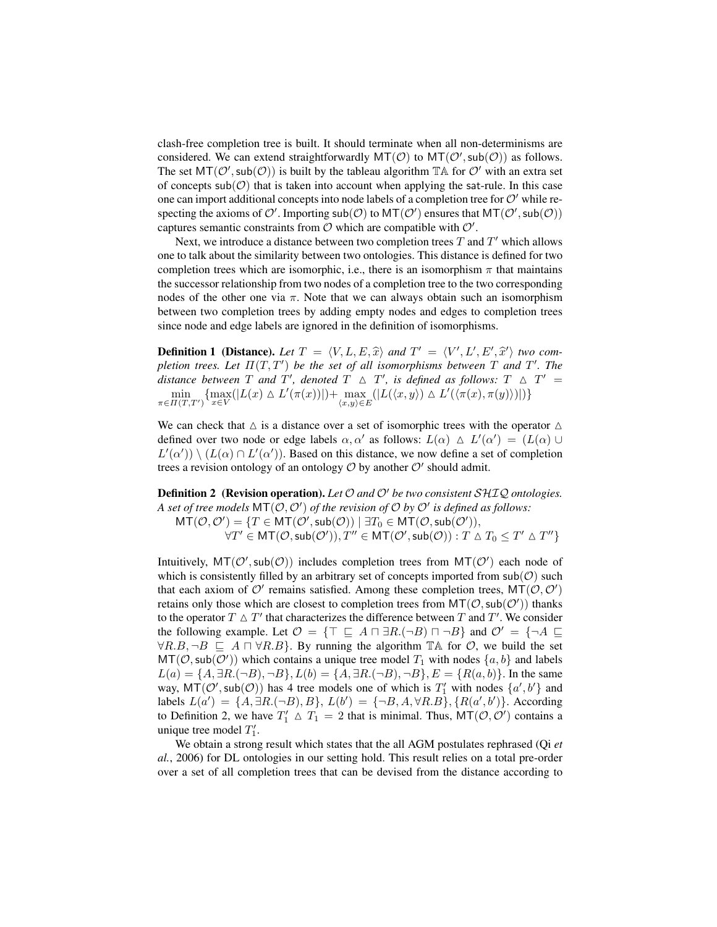clash-free completion tree is built. It should terminate when all non-determinisms are considered. We can extend straightforwardly  $MT(\mathcal{O})$  to  $MT(\mathcal{O}',sub(\mathcal{O}))$  as follows. The set  $MT(\mathcal{O}',sub(\mathcal{O}))$  is built by the tableau algorithm  $TA$  for  $\mathcal{O}'$  with an extra set of concepts sub( $\mathcal{O}$ ) that is taken into account when applying the sat-rule. In this case one can import additional concepts into node labels of a completion tree for  $O'$  while respecting the axioms of  $\mathcal{O}'$ . Importing  $\mathsf{sub}(\mathcal{O})$  to  $\mathsf{MT}(\mathcal{O}')$  ensures that  $\mathsf{MT}(\mathcal{O}', \mathsf{sub}(\mathcal{O}))$ captures semantic constraints from  $\mathcal O$  which are compatible with  $\mathcal O'$ .

Next, we introduce a distance between two completion trees  $T$  and  $T'$  which allows one to talk about the similarity between two ontologies. This distance is defined for two completion trees which are isomorphic, i.e., there is an isomorphism  $\pi$  that maintains the successor relationship from two nodes of a completion tree to the two corresponding nodes of the other one via  $\pi$ . Note that we can always obtain such an isomorphism between two completion trees by adding empty nodes and edges to completion trees since node and edge labels are ignored in the definition of isomorphisms.

**Definition 1 (Distance).** Let  $T = \langle V, L, E, \hat{x} \rangle$  and  $T' = \langle V', L', E', \hat{x}' \rangle$  two com-<br>plation tracs, Let  $\overline{H}(T, T')$  be the set of all isomorphisms between  $T$  and  $T'$ . The *pletion trees. Let*  $\Pi(T, T')$  *be the set of all isomorphisms between* T *and* T'. The *distance between*  $T$  *and*  $T'$ , *denoted*  $T \triangle T'$ , *is defined as follows:*  $T \triangle T' =$  $\min_{\pi \in \Pi(T,T')} \{ \max_{x \in V} (|L(x) \wedge L'(\pi(x))|) + \max_{(x,y) \in E} (|L(\langle x,y \rangle) \wedge L'(\langle \pi(x), \pi(y) \rangle) |) \}$ 

We can check that  $\Delta$  is a distance over a set of isomorphic trees with the operator  $\Delta$ defined over two node or edge labels  $\alpha, \alpha'$  as follows:  $L(\alpha) \triangleq L'(\alpha') = (L(\alpha) \cup$  $L'(\alpha')$   $\setminus$   $(L(\alpha) \cap L'(\alpha'))$ . Based on this distance, we now define a set of completion trees a revision ontology of an ontology  $O$  by another  $O'$  should admit.

**Definition 2** (Revision operation). Let  $\mathcal{O}$  and  $\mathcal{O}'$  be two consistent SHIQ ontologies. A set of tree models  $MT(\mathcal{O}, \mathcal{O}')$  of the revision of  $\mathcal O$  by  $\mathcal O'$  is defined as follows:  $MT(\mathcal{O}, \mathcal{O}') = \{T \in \textsf{MT}(\mathcal{O}', \textsf{sub}(\mathcal{O})) \mid \exists T_0 \in \textsf{MT}(\mathcal{O}, \textsf{sub}(\mathcal{O}')),$  $\forall T' \in {\sf MT}({\cal O},\mathsf{sub}({\cal O}')), T'' \in {\sf MT}({\cal O}',\mathsf{sub}({\cal O})) : T \vartriangle T_0 \le T' \vartriangle T''\}$ 

Intuitively,  $MT(\mathcal{O}', sub(\mathcal{O}))$  includes completion trees from  $MT(\mathcal{O}')$  each node of which is consistently filled by an arbitrary set of concepts imported from  $sub(\mathcal{O})$  such that each axiom of  $\mathcal{O}'$  remains satisfied. Among these completion trees,  $MT(\mathcal{O}, \mathcal{O}')$ retains only those which are closest to completion trees from  $MT(\mathcal{O},sub(\mathcal{O}'))$  thanks to the operator  $T \triangle T'$  that characterizes the difference between  $T$  and  $T'$ . We consider the following example. Let  $\mathcal{O} = \{ \top \sqsubseteq A \sqcap \exists R.(\neg B) \sqcap \neg B \}$  and  $\mathcal{O}' = \{ \neg A \sqsubseteq$  $\forall R.B, \neg B \sqsubseteq A \sqcap \forall R.B$ . By running the algorithm  $\mathbb{T}$ A for  $\mathcal{O}$ , we build the set  $MT(\mathcal{O}, \mathsf{sub}(\mathcal{O}'))$  which contains a unique tree model  $T_1$  with nodes  $\{a, b\}$  and labels  $L(a) = \{A, \exists R.(\neg B), \neg B\}, L(b) = \{A, \exists R.(\neg B), \neg B\}, E = \{R(a, b)\}.$  In the same way,  $MT(\mathcal{O}', sub(\mathcal{O}))$  has 4 tree models one of which is  $T'_1$  with nodes  $\{a', b'\}$  and labels  $L(a') = \{A, \exists R.(\neg B), B\}, L(b') = \{\neg B, A, \forall R.B\}, \{R(a', b')\}.$  According to Definition 2, we have  $T'_1 \triangle T_1 = 2$  that is minimal. Thus,  $MT(\mathcal{O}, \mathcal{O}')$  contains a unique tree model  $T_1'$ .

We obtain a strong result which states that the all AGM postulates rephrased (Qi *et al.*, 2006) for DL ontologies in our setting hold. This result relies on a total pre-order over a set of all completion trees that can be devised from the distance according to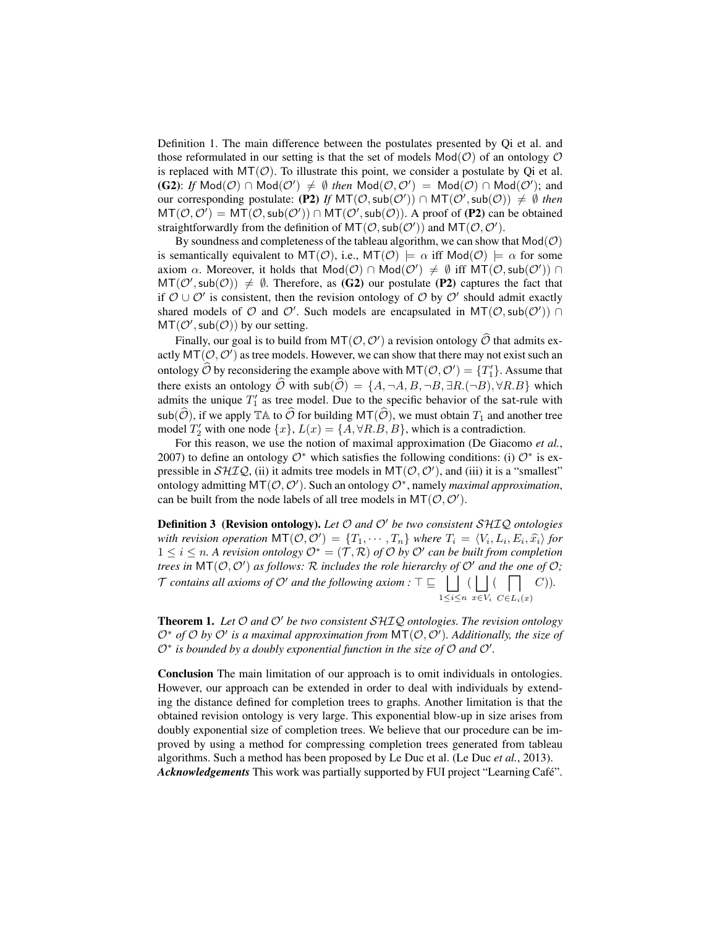Definition 1. The main difference between the postulates presented by Qi et al. and those reformulated in our setting is that the set of models  $Mod(\mathcal{O})$  of an ontology  $\mathcal O$ is replaced with  $MT(\mathcal{O})$ . To illustrate this point, we consider a postulate by Qi et al. (G2): If  $Mod(\mathcal{O}) \cap Mod(\mathcal{O}') \neq \emptyset$  then  $Mod(\mathcal{O}, \mathcal{O}') = Mod(\mathcal{O}) \cap Mod(\mathcal{O}')$ ; and our corresponding postulate: (P2) If  $MT(\mathcal{O},sub(\mathcal{O}')) \cap MT(\mathcal{O}',sub(\mathcal{O})) \neq \emptyset$  then  $MT(\mathcal{O}, \mathcal{O}') = MT(\mathcal{O}, \text{sub}(\mathcal{O}')) \cap MT(\mathcal{O}', \text{sub}(\mathcal{O})).$  A proof of (P2) can be obtained straightforwardly from the definition of  $MT(\mathcal{O},sub(\mathcal{O}'))$  and  $MT(\mathcal{O}, \mathcal{O}').$ 

By soundness and completeness of the tableau algorithm, we can show that  $Mod(\mathcal{O})$ is semantically equivalent to  $MT(\mathcal{O})$ , i.e.,  $MT(\mathcal{O}) \models \alpha$  iff  $Mod(\mathcal{O}) \models \alpha$  for some axiom  $\alpha$ . Moreover, it holds that  $Mod(\mathcal{O}) \cap Mod(\mathcal{O}') \neq \emptyset$  iff  $MT(\mathcal{O},sub(\mathcal{O}')) \cap$  $MT(\mathcal{O}',sub(\mathcal{O})) \neq \emptyset$ . Therefore, as (G2) our postulate (P2) captures the fact that if  $\mathcal{O} \cup \mathcal{O}'$  is consistent, then the revision ontology of  $\mathcal{O}$  by  $\mathcal{O}'$  should admit exactly shared models of  $O$  and  $O'$ . Such models are encapsulated in  $MT(O, sub(O'))$  $MT(\mathcal{O}', sub(\mathcal{O}))$  by our setting.

Finally, our goal is to build from  $MT(\mathcal{O}, \mathcal{O}')$  a revision ontology  $\widehat{\mathcal{O}}$  that admits ex-<br> $MT(\widehat{\mathcal{O}}, \widehat{\mathcal{O}}')$ actly  $MT(\mathcal{O}, \mathcal{O}')$  as tree models. However, we can show that there may not exist such an ontology  $\widehat{\mathcal{O}}$  by reconsidering the example above with  $MT(\mathcal{O}, \mathcal{O}') = \{T_1'\}$ . Assume that there exists an ontology  $\widehat{O}$  with sub $(\widehat{O}) = \{A, \neg A, B, \neg B, \exists R.(\neg B), \forall R.B\}$  which admits the unique  $T_1'$  as tree model. Due to the specific behavior of the sat-rule with sub( $\widehat{O}$ ), if we apply  $\mathbb{T}$ A to  $\widehat{O}$  for building MT( $\widehat{O}$ ), we must obtain  $T_1$  and another tree model  $T'_2$  with one node  $\{x\}$ ,  $L(x) = \{A, \forall R.B, B\}$ , which is a contradiction.

For this reason, we use the notion of maximal approximation (De Giacomo *et al.*, 2007) to define an ontology  $\mathcal{O}^*$  which satisfies the following conditions: (i)  $\mathcal{O}^*$  is expressible in  $\mathcal{SHIQ}$ , (ii) it admits tree models in  $\mathsf{MT}(\mathcal{O}, \mathcal{O}')$ , and (iii) it is a "smallest" ontology admitting MT( $(O, O')$ ). Such an ontology  $O^*$ , namely *maximal approximation*, can be built from the node labels of all tree models in  $MT(\mathcal{O}, \mathcal{O}^{\prime})$ .

**Definition 3 (Revision ontology).** Let  $\mathcal O$  and  $\mathcal O'$  be two consistent SHIQ ontologies *with revision operation*  $MT(\mathcal{O}, \mathcal{O}') = \{T_1, \dots, T_n\}$  *where*  $T_i = \langle V_i, L_i, E_i, \hat{x_i} \rangle$  *for*  $1 \leq i \leq n$ . A rayision ontology  $\mathcal{O}^* = (\mathcal{T}, \mathcal{D})$  of  $\mathcal{O}$  by  $\mathcal{O}'$  can be wilt from completion  $1 ≤ i ≤ n$ . A revision ontology  $\mathcal{O}^* = (\mathcal{T}, \mathcal{R})$  of  $\mathcal{O}$  by  $\mathcal{O}'$  can be built from completion *trees in*  $MT(O, O')$  *as follows:* R *includes the role hierarchy of*  $O'$  *and the one of*  $O$ ; T contains all axioms of  $\mathcal{O}'$  and the following axiom :  $\top \sqsubseteq \;\;|\;\;|$  $1 \leq i \leq n$  $($ |  $\vert$  $x \in V_i$  $(\Box)$  $C\in L_i(x)$ C))*.*

**Theorem 1.** Let  $\mathcal O$  and  $\mathcal O'$  be two consistent  $\mathcal{SHLQ}$  ontologies. The revision ontology  $\mathcal{O}^*$  *of*  $\mathcal{O}$  *by*  $\mathcal{O}'$  *is a maximal approximation from* MT( $\mathcal{O}, \mathcal{O}'$ ). Additionally, the size of  $\mathcal{O}^*$  is bounded by a doubly exponential function in the size of  $\mathcal O$  and  $\mathcal O'$ .

Conclusion The main limitation of our approach is to omit individuals in ontologies. However, our approach can be extended in order to deal with individuals by extending the distance defined for completion trees to graphs. Another limitation is that the obtained revision ontology is very large. This exponential blow-up in size arises from doubly exponential size of completion trees. We believe that our procedure can be improved by using a method for compressing completion trees generated from tableau algorithms. Such a method has been proposed by Le Duc et al. (Le Duc *et al.*, 2013). *Acknowledgements* This work was partially supported by FUI project "Learning Café".